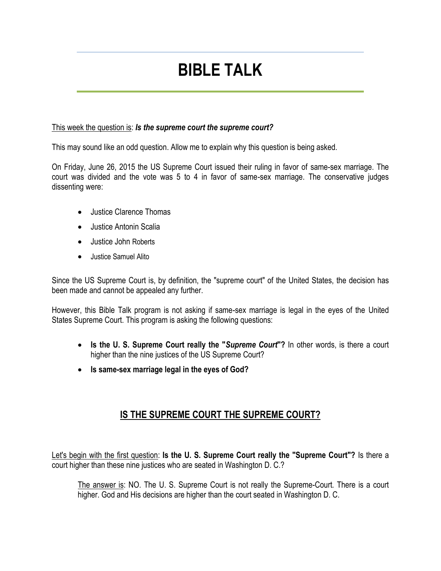# **BIBLE TALK**

#### This week the question is: *Is the supreme court the supreme court?*

This may sound like an odd question. Allow me to explain why this question is being asked.

On Friday, June 26, 2015 the US Supreme Court issued their ruling in favor of same-sex marriage. The court was divided and the vote was 5 to 4 in favor of same-sex marriage. The conservative judges dissenting were:

- Justice Clarence Thomas
- Justice Antonin Scalia
- Justice John Roberts
- Justice Samuel Alito

Since the US Supreme Court is, by definition, the "supreme court" of the United States, the decision has been made and cannot be appealed any further.

However, this Bible Talk program is not asking if same-sex marriage is legal in the eyes of the United States Supreme Court. This program is asking the following questions:

- **Is the U. S. Supreme Court really the "***Supreme Court***"?** In other words, is there a court higher than the nine justices of the US Supreme Court?
- **Is same-sex marriage legal in the eyes of God?**

# **IS THE SUPREME COURT THE SUPREME COURT?**

Let's begin with the first question: **Is the U. S. Supreme Court really the "Supreme Court"?** Is there a court higher than these nine justices who are seated in Washington D. C.?

The answer is: NO. The U. S. Supreme Court is not really the Supreme-Court. There is a court higher. God and His decisions are higher than the court seated in Washington D. C.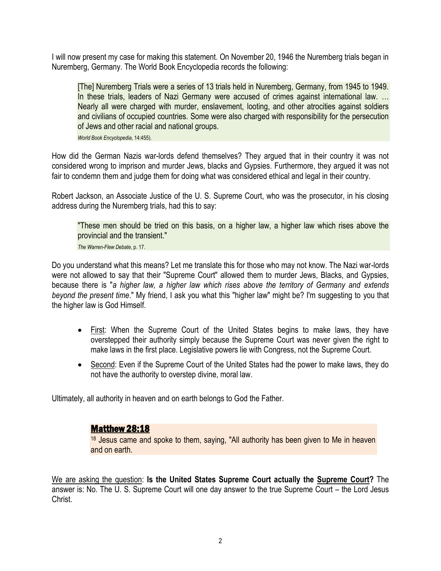I will now present my case for making this statement. On November 20, 1946 the Nuremberg trials began in Nuremberg, Germany. The World Book Encyclopedia records the following:

[The] Nuremberg Trials were a series of 13 trials held in Nuremberg, Germany, from 1945 to 1949. In these trials, leaders of Nazi Germany were accused of crimes against international law. ... Nearly all were charged with murder, enslavement, looting, and other atrocities against soldiers and civilians of occupied countries. Some were also charged with responsibility for the persecution of Jews and other racial and national groups.

*World Book Encyclopedia*, 14:455).

How did the German Nazis war-lords defend themselves? They argued that in their country it was not considered wrong to imprison and murder Jews, blacks and Gypsies. Furthermore, they argued it was not fair to condemn them and judge them for doing what was considered ethical and legal in their country.

Robert Jackson, an Associate Justice of the U. S. Supreme Court, who was the prosecutor, in his closing address during the Nuremberg trials, had this to say:

"These men should be tried on this basis, on a higher law, a higher law which rises above the provincial and the transient."

*The Warren-Flew Debate*, p. 17.

Do you understand what this means? Let me translate this for those who may not know. The Nazi war-lords were not allowed to say that their "Supreme Court" allowed them to murder Jews, Blacks, and Gypsies, because there is "*a higher law, a higher law which rises above the territory of Germany and extends beyond the present time*." My friend, I ask you what this "higher law" might be? I'm suggesting to you that the higher law is God Himself.

- First: When the Supreme Court of the United States begins to make laws, they have overstepped their authority simply because the Supreme Court was never given the right to make laws in the first place. Legislative powers lie with Congress, not the Supreme Court.
- Second: Even if the Supreme Court of the United States had the power to make laws, they do not have the authority to overstep divine, moral law.

Ultimately, all authority in heaven and on earth belongs to God the Father.

## Matthew 28:18

<sup>18</sup> Jesus came and spoke to them, saying, "All authority has been given to Me in heaven and on earth.

We are asking the question: **Is the United States Supreme Court actually the Supreme Court?** The answer is: No. The U. S. Supreme Court will one day answer to the true Supreme Court – the Lord Jesus Christ.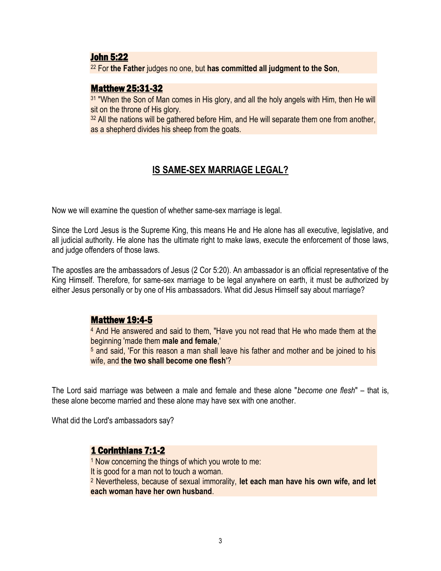#### John 5:22

<sup>22</sup> For **the Father** judges no one, but **has committed all judgment to the Son**,

## Matthew 25:31-32

<sup>31</sup> "When the Son of Man comes in His glory, and all the holy angels with Him, then He will sit on the throne of His glory.

<sup>32</sup> All the nations will be gathered before Him, and He will separate them one from another, as a shepherd divides his sheep from the goats.

# **IS SAME-SEX MARRIAGE LEGAL?**

Now we will examine the question of whether same-sex marriage is legal.

Since the Lord Jesus is the Supreme King, this means He and He alone has all executive, legislative, and all judicial authority. He alone has the ultimate right to make laws, execute the enforcement of those laws, and judge offenders of those laws.

The apostles are the ambassadors of Jesus (2 Cor 5:20). An ambassador is an official representative of the King Himself. Therefore, for same-sex marriage to be legal anywhere on earth, it must be authorized by either Jesus personally or by one of His ambassadors. What did Jesus Himself say about marriage?

## Matthew 19:4-5

<sup>4</sup> And He answered and said to them, "Have you not read that He who made them at the beginning 'made them **male and female**,'

<sup>5</sup> and said, 'For this reason a man shall leave his father and mother and be joined to his wife, and **the two shall become one flesh**'?

The Lord said marriage was between a male and female and these alone "*become one flesh*" – that is, these alone become married and these alone may have sex with one another.

What did the Lord's ambassadors say?

## 1 Corinthians 7:1-2

<sup>1</sup> Now concerning the things of which you wrote to me:

It is good for a man not to touch a woman.

<sup>2</sup> Nevertheless, because of sexual immorality, **let each man have his own wife, and let each woman have her own husband**.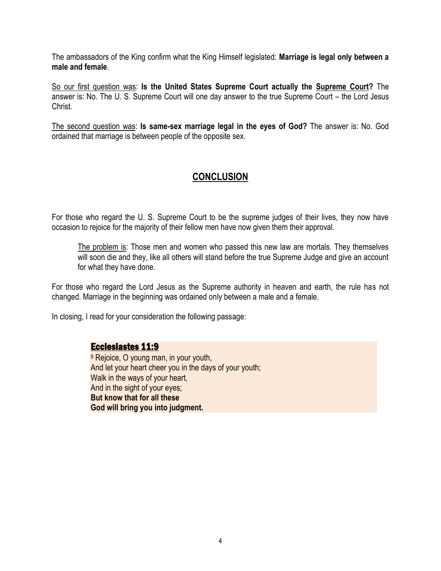The ambassadors of the King confirm what the King Himself legislated: **Marriage is legal only between a male and female**.

So our first question was: **Is the United States Supreme Court actually the Supreme Court?** The answer is: No. The U. S. Supreme Court will one day answer to the true Supreme Court – the Lord Jesus Christ.

The second question was: **Is same-sex marriage legal in the eyes of God?** The answer is: No. God ordained that marriage is between people of the opposite sex.

# **CONCLUSION**

For those who regard the U. S. Supreme Court to be the supreme judges of their lives, they now have occasion to rejoice for the majority of their fellow men have now given them their approval.

The problem is: Those men and women who passed this new law are mortals. They themselves will soon die and they, like all others will stand before the true Supreme Judge and give an account for what they have done.

For those who regard the Lord Jesus as the Supreme authority in heaven and earth, the rule has not changed. Marriage in the beginning was ordained only between a male and a female.

In closing, I read for your consideration the following passage:

## Ecclesiastes 11:9

<sup>9</sup> Rejoice, O young man, in your youth, And let your heart cheer you in the days of your youth; Walk in the ways of your heart, And in the sight of your eyes; **But know that for all these God will bring you into judgment.**